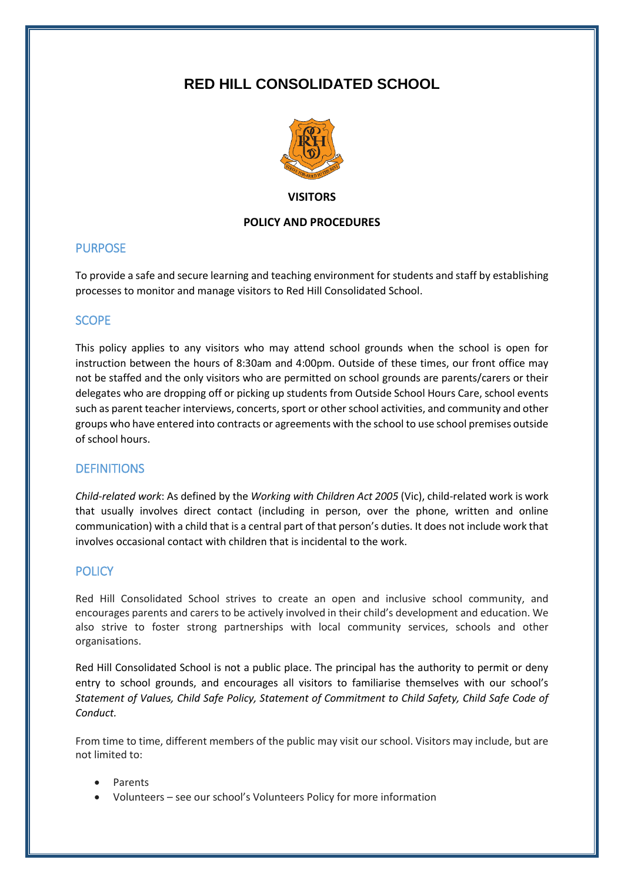# **RED HILL CONSOLIDATED SCHOOL**



**VISITORS**

## **POLICY AND PROCEDURES**

# PURPOSE

To provide a safe and secure learning and teaching environment for students and staff by establishing processes to monitor and manage visitors to Red Hill Consolidated School.

# SCOPE

This policy applies to any visitors who may attend school grounds when the school is open for instruction between the hours of 8:30am and 4:00pm. Outside of these times, our front office may not be staffed and the only visitors who are permitted on school grounds are parents/carers or their delegates who are dropping off or picking up students from Outside School Hours Care, school events such as parent teacher interviews, concerts, sport or other school activities, and community and other groups who have entered into contracts or agreements with the school to use school premises outside of school hours.

# **DEFINITIONS**

*Child-related work*: As defined by the *Working with Children Act 2005* (Vic), child-related work is work that usually involves direct contact (including in person, over the phone, written and online communication) with a child that is a central part of that person's duties. It does not include work that involves occasional contact with children that is incidental to the work.

# **POLICY**

Red Hill Consolidated School strives to create an open and inclusive school community, and encourages parents and carers to be actively involved in their child's development and education. We also strive to foster strong partnerships with local community services, schools and other organisations.

Red Hill Consolidated School is not a public place. The principal has the authority to permit or deny entry to school grounds, and encourages all visitors to familiarise themselves with our school's *Statement of Values, Child Safe Policy, Statement of Commitment to Child Safety, Child Safe Code of Conduct.* 

From time to time, different members of the public may visit our school. Visitors may include, but are not limited to:

- Parents
- Volunteers see our school's Volunteers Policy for more information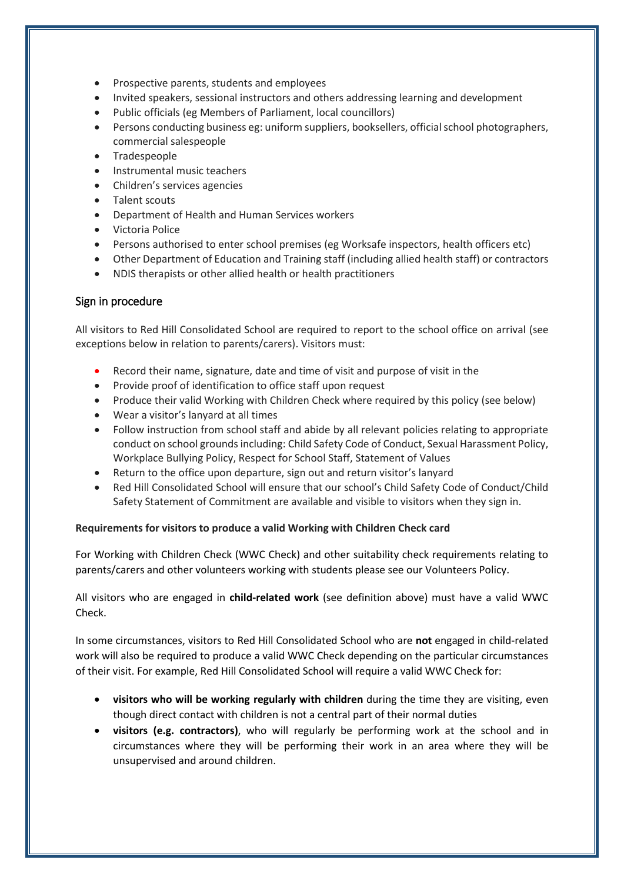- Prospective parents, students and employees
- Invited speakers, sessional instructors and others addressing learning and development
- Public officials (eg Members of Parliament, local councillors)
- Persons conducting business eg: uniform suppliers, booksellers, official school photographers, commercial salespeople
- Tradespeople
- Instrumental music teachers
- Children's services agencies
- Talent scouts
- Department of Health and Human Services workers
- Victoria Police
- Persons authorised to enter school premises (eg Worksafe inspectors, health officers etc)
- Other Department of Education and Training staff (including allied health staff) or contractors
- NDIS therapists or other allied health or health practitioners

## Sign in procedure

All visitors to Red Hill Consolidated School are required to report to the school office on arrival (see exceptions below in relation to parents/carers). Visitors must:

- Record their name, signature, date and time of visit and purpose of visit in the
- Provide proof of identification to office staff upon request
- Produce their valid Working with Children Check where required by this policy (see below)
- Wear a visitor's lanyard at all times
- Follow instruction from school staff and abide by all relevant policies relating to appropriate conduct on school grounds including: Child Safety Code of Conduct, Sexual Harassment Policy, Workplace Bullying Policy, Respect for School Staff, Statement of Values
- Return to the office upon departure, sign out and return visitor's lanyard
- Red Hill Consolidated School will ensure that our school's Child Safety Code of Conduct/Child Safety Statement of Commitment are available and visible to visitors when they sign in.

#### **Requirements for visitors to produce a valid Working with Children Check card**

For Working with Children Check (WWC Check) and other suitability check requirements relating to parents/carers and other volunteers working with students please see our Volunteers Policy.

All visitors who are engaged in **child-related work** (see definition above) must have a valid WWC Check.

In some circumstances, visitors to Red Hill Consolidated School who are **not** engaged in child-related work will also be required to produce a valid WWC Check depending on the particular circumstances of their visit. For example, Red Hill Consolidated School will require a valid WWC Check for:

- **visitors who will be working regularly with children** during the time they are visiting, even though direct contact with children is not a central part of their normal duties
- **visitors (e.g. contractors)**, who will regularly be performing work at the school and in circumstances where they will be performing their work in an area where they will be unsupervised and around children.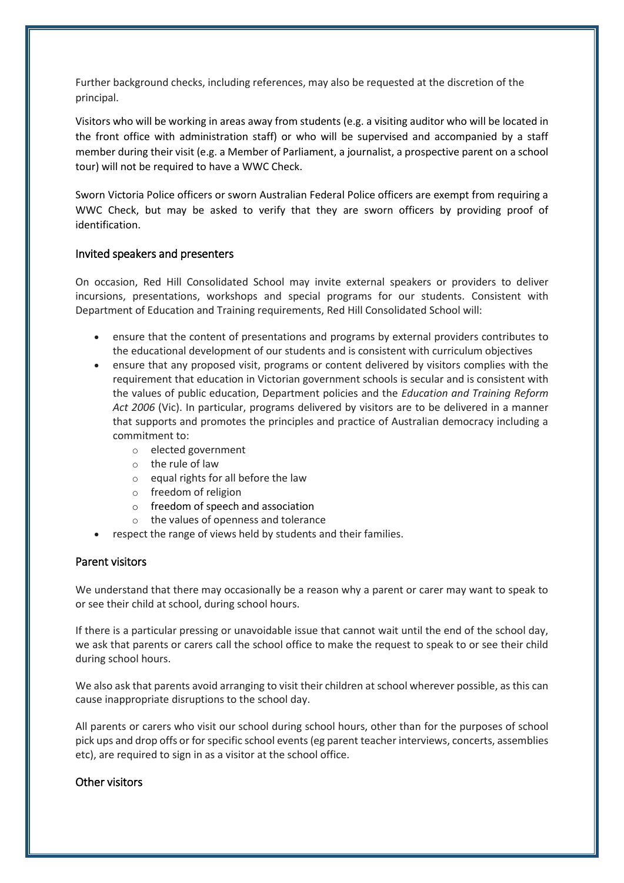Further background checks, including references, may also be requested at the discretion of the principal.

Visitors who will be working in areas away from students (e.g. a visiting auditor who will be located in the front office with administration staff) or who will be supervised and accompanied by a staff member during their visit (e.g. a Member of Parliament, a journalist, a prospective parent on a school tour) will not be required to have a WWC Check.

Sworn Victoria Police officers or sworn Australian Federal Police officers are exempt from requiring a WWC Check, but may be asked to verify that they are sworn officers by providing proof of identification.

#### Invited speakers and presenters

On occasion, Red Hill Consolidated School may invite external speakers or providers to deliver incursions, presentations, workshops and special programs for our students. Consistent with Department of Education and Training requirements, Red Hill Consolidated School will:

- ensure that the content of presentations and programs by external providers contributes to the educational development of our students and is consistent with curriculum objectives
- ensure that any proposed visit, programs or content delivered by visitors complies with the requirement that education in Victorian government schools is secular and is consistent with the values of public education, Department policies and the *Education and Training Reform Act 2006* (Vic). In particular, programs delivered by visitors are to be delivered in a manner that supports and promotes the principles and practice of Australian democracy including a commitment to:
	- o elected government
	- o the rule of law
	- o equal rights for all before the law
	- o freedom of religion
	- o freedom of speech and association
	- o the values of openness and tolerance
- respect the range of views held by students and their families.

# Parent visitors

We understand that there may occasionally be a reason why a parent or carer may want to speak to or see their child at school, during school hours.

If there is a particular pressing or unavoidable issue that cannot wait until the end of the school day, we ask that parents or carers call the school office to make the request to speak to or see their child during school hours.

We also ask that parents avoid arranging to visit their children at school wherever possible, as this can cause inappropriate disruptions to the school day.

All parents or carers who visit our school during school hours, other than for the purposes of school pick ups and drop offs or for specific school events (eg parent teacher interviews, concerts, assemblies etc), are required to sign in as a visitor at the school office.

## Other visitors